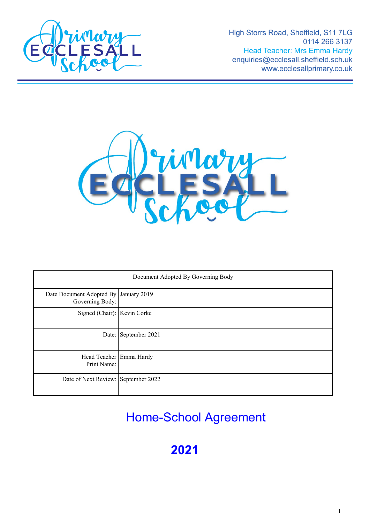

High Storrs Road, Sheffield, S11 7LG 0114 266 3137 **Head Teacher: Mrs Emma Hardy** enquiries@ecclesall.sheffield.sch.uk www.ecclesallprimary.co.uk



| Document Adopted By Governing Body                       |                      |
|----------------------------------------------------------|----------------------|
| Date Document Adopted By January 2019<br>Governing Body: |                      |
| Signed (Chair): Kevin Corke                              |                      |
|                                                          | Date: September 2021 |
| Head Teacher Emma Hardy<br>Print Name:                   |                      |
| Date of Next Review: September 2022                      |                      |

Home-School Agreement

**2021**